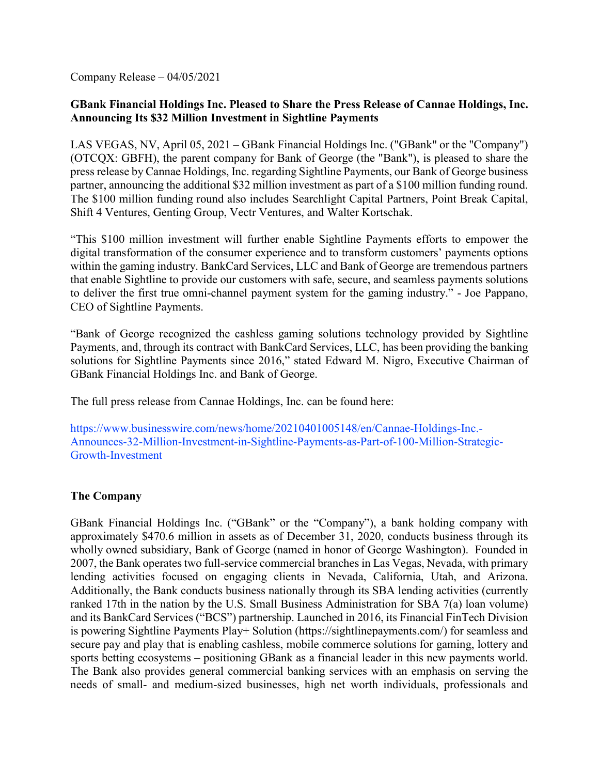Company Release – 04/05/2021

# **GBank Financial Holdings Inc. Pleased to Share the Press Release of Cannae Holdings, Inc. Announcing Its \$32 Million Investment in Sightline Payments**

LAS VEGAS, NV, April 05, 2021 – GBank Financial Holdings Inc. ("GBank" or the "Company") (OTCQX: GBFH), the parent company for Bank of George (the "Bank"), is pleased to share the press release by Cannae Holdings, Inc. regarding Sightline Payments, our Bank of George business partner, announcing the additional \$32 million investment as part of a \$100 million funding round. The \$100 million funding round also includes Searchlight Capital Partners, Point Break Capital, Shift 4 Ventures, Genting Group, Vectr Ventures, and Walter Kortschak.

"This \$100 million investment will further enable Sightline Payments efforts to empower the digital transformation of the consumer experience and to transform customers' payments options within the gaming industry. BankCard Services, LLC and Bank of George are tremendous partners that enable Sightline to provide our customers with safe, secure, and seamless payments solutions to deliver the first true omni-channel payment system for the gaming industry." - Joe Pappano, CEO of Sightline Payments.

"Bank of George recognized the cashless gaming solutions technology provided by Sightline Payments, and, through its contract with BankCard Services, LLC, has been providing the banking solutions for Sightline Payments since 2016," stated Edward M. Nigro, Executive Chairman of GBank Financial Holdings Inc. and Bank of George.

The full press release from Cannae Holdings, Inc. can be found here:

https://www.businesswire.com/news/home/20210401005148/en/Cannae-Holdings-Inc.- Announces-32-Million-Investment-in-Sightline-Payments-as-Part-of-100-Million-Strategic-Growth-Investment

## **The Company**

GBank Financial Holdings Inc. ("GBank" or the "Company"), a bank holding company with approximately \$470.6 million in assets as of December 31, 2020, conducts business through its wholly owned subsidiary, Bank of George (named in honor of George Washington). Founded in 2007, the Bank operates two full-service commercial branches in Las Vegas, Nevada, with primary lending activities focused on engaging clients in Nevada, California, Utah, and Arizona. Additionally, the Bank conducts business nationally through its SBA lending activities (currently ranked 17th in the nation by the U.S. Small Business Administration for SBA 7(a) loan volume) and its BankCard Services ("BCS") partnership. Launched in 2016, its Financial FinTech Division is powering Sightline Payments Play+ Solution (https://sightlinepayments.com/) for seamless and secure pay and play that is enabling cashless, mobile commerce solutions for gaming, lottery and sports betting ecosystems – positioning GBank as a financial leader in this new payments world. The Bank also provides general commercial banking services with an emphasis on serving the needs of small- and medium-sized businesses, high net worth individuals, professionals and